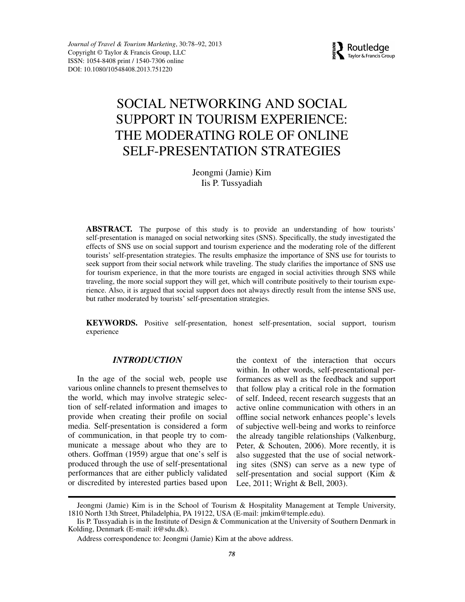

*Journal of Travel & Tourism Marketing*, 30:78–92, 2013 Copyright © Taylor & Francis Group, LLC ISSN: 1054-8408 print / 1540-7306 online DOI: 10.1080/10548408.2013.751220

# SOCIAL NETWORKING AND SOCIAL SUPPORT IN TOURISM EXPERIENCE: THE MODERATING ROLE OF ONLINE SELF-PRESENTATION STRATEGIES

Jeongmi (Jamie) Kim Iis P. Tussyadiah

**ABSTRACT.** The purpose of this study is to provide an understanding of how tourists' self-presentation is managed on social networking sites (SNS). Specifically, the study investigated the effects of SNS use on social support and tourism experience and the moderating role of the different tourists' self-presentation strategies. The results emphasize the importance of SNS use for tourists to seek support from their social network while traveling. The study clarifies the importance of SNS use for tourism experience, in that the more tourists are engaged in social activities through SNS while traveling, the more social support they will get, which will contribute positively to their tourism experience. Also, it is argued that social support does not always directly result from the intense SNS use, but rather moderated by tourists' self-presentation strategies.

**KEYWORDS.** Positive self-presentation, honest self-presentation, social support, tourism experience

## *INTRODUCTION*

In the age of the social web, people use various online channels to present themselves to the world, which may involve strategic selection of self-related information and images to provide when creating their profile on social media. Self-presentation is considered a form of communication, in that people try to communicate a message about who they are to others. Goffman (1959) argue that one's self is produced through the use of self-presentational performances that are either publicly validated or discredited by interested parties based upon

the context of the interaction that occurs within. In other words, self-presentational performances as well as the feedback and support that follow play a critical role in the formation of self. Indeed, recent research suggests that an active online communication with others in an offline social network enhances people's levels of subjective well-being and works to reinforce the already tangible relationships (Valkenburg, Peter, & Schouten, 2006). More recently, it is also suggested that the use of social networking sites (SNS) can serve as a new type of self-presentation and social support (Kim & Lee, 2011; Wright & Bell, 2003).

Jeongmi (Jamie) Kim is in the School of Tourism & Hospitality Management at Temple University, 1810 North 13th Street, Philadelphia, PA 19122, USA (E-mail: jmkim@temple.edu).

Iis P. Tussyadiah is in the Institute of Design & Communication at the University of Southern Denmark in Kolding, Denmark (E-mail: it@sdu.dk).

Address correspondence to: Jeongmi (Jamie) Kim at the above address.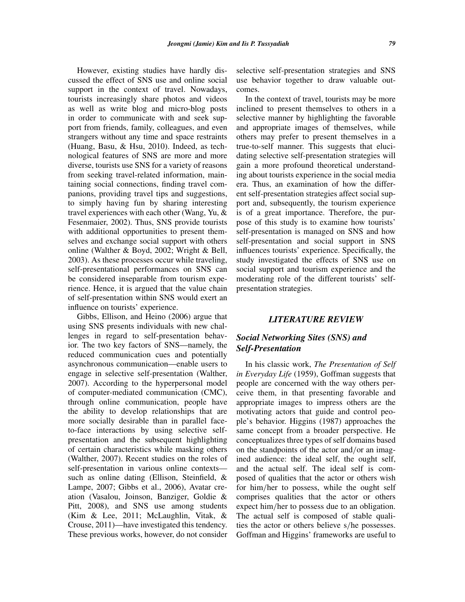However, existing studies have hardly discussed the effect of SNS use and online social support in the context of travel. Nowadays, tourists increasingly share photos and videos as well as write blog and micro-blog posts in order to communicate with and seek support from friends, family, colleagues, and even strangers without any time and space restraints (Huang, Basu, & Hsu, 2010). Indeed, as technological features of SNS are more and more diverse, tourists use SNS for a variety of reasons from seeking travel-related information, maintaining social connections, finding travel companions, providing travel tips and suggestions, to simply having fun by sharing interesting travel experiences with each other (Wang, Yu, & Fesenmaier, 2002). Thus, SNS provide tourists with additional opportunities to present themselves and exchange social support with others online (Walther & Boyd, 2002; Wright & Bell, 2003). As these processes occur while traveling, self-presentational performances on SNS can be considered inseparable from tourism experience. Hence, it is argued that the value chain of self-presentation within SNS would exert an influence on tourists' experience.

Gibbs, Ellison, and Heino (2006) argue that using SNS presents individuals with new challenges in regard to self-presentation behavior. The two key factors of SNS—namely, the reduced communication cues and potentially asynchronous communication—enable users to engage in selective self-presentation (Walther, 2007). According to the hyperpersonal model of computer-mediated communication (CMC), through online communication, people have the ability to develop relationships that are more socially desirable than in parallel faceto-face interactions by using selective selfpresentation and the subsequent highlighting of certain characteristics while masking others (Walther, 2007). Recent studies on the roles of self-presentation in various online contexts such as online dating (Ellison, Steinfield, & Lampe, 2007; Gibbs et al., 2006), Avatar creation (Vasalou, Joinson, Banziger, Goldie & Pitt, 2008), and SNS use among students (Kim & Lee, 2011; McLaughlin, Vitak, & Crouse, 2011)—have investigated this tendency. These previous works, however, do not consider

selective self-presentation strategies and SNS use behavior together to draw valuable outcomes.

In the context of travel, tourists may be more inclined to present themselves to others in a selective manner by highlighting the favorable and appropriate images of themselves, while others may prefer to present themselves in a true-to-self manner. This suggests that elucidating selective self-presentation strategies will gain a more profound theoretical understanding about tourists experience in the social media era. Thus, an examination of how the different self-presentation strategies affect social support and, subsequently, the tourism experience is of a great importance. Therefore, the purpose of this study is to examine how tourists' self-presentation is managed on SNS and how self-presentation and social support in SNS influences tourists' experience. Specifically, the study investigated the effects of SNS use on social support and tourism experience and the moderating role of the different tourists' selfpresentation strategies.

#### *LITERATURE REVIEW*

## *Social Networking Sites (SNS) and Self-Presentation*

In his classic work, *The Presentation of Self in Everyday Life* (1959), Goffman suggests that people are concerned with the way others perceive them, in that presenting favorable and appropriate images to impress others are the motivating actors that guide and control people's behavior. Higgins (1987) approaches the same concept from a broader perspective. He conceptualizes three types of self domains based on the standpoints of the actor and/or an imagined audience: the ideal self, the ought self, and the actual self. The ideal self is composed of qualities that the actor or others wish for him/her to possess, while the ought self comprises qualities that the actor or others expect him/her to possess due to an obligation. The actual self is composed of stable qualities the actor or others believe s/he possesses. Goffman and Higgins' frameworks are useful to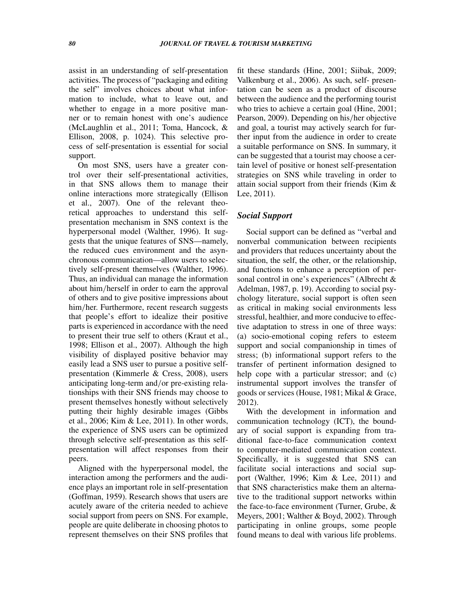assist in an understanding of self-presentation activities. The process of "packaging and editing the self" involves choices about what information to include, what to leave out, and whether to engage in a more positive manner or to remain honest with one's audience (McLaughlin et al., 2011; Toma, Hancock, & Ellison, 2008, p. 1024). This selective process of self-presentation is essential for social support.

On most SNS, users have a greater control over their self-presentational activities, in that SNS allows them to manage their online interactions more strategically (Ellison et al., 2007). One of the relevant theoretical approaches to understand this selfpresentation mechanism in SNS context is the hyperpersonal model (Walther, 1996). It suggests that the unique features of SNS—namely, the reduced cues environment and the asynchronous communication—allow users to selectively self-present themselves (Walther, 1996). Thus, an individual can manage the information about him/herself in order to earn the approval of others and to give positive impressions about him/her. Furthermore, recent research suggests that people's effort to idealize their positive parts is experienced in accordance with the need to present their true self to others (Kraut et al., 1998; Ellison et al., 2007). Although the high visibility of displayed positive behavior may easily lead a SNS user to pursue a positive selfpresentation (Kimmerle & Cress, 2008), users anticipating long-term and/or pre-existing relationships with their SNS friends may choose to present themselves honestly without selectively putting their highly desirable images (Gibbs et al., 2006; Kim & Lee, 2011). In other words, the experience of SNS users can be optimized through selective self-presentation as this selfpresentation will affect responses from their peers.

Aligned with the hyperpersonal model, the interaction among the performers and the audience plays an important role in self-presentation (Goffman, 1959). Research shows that users are acutely aware of the criteria needed to achieve social support from peers on SNS. For example, people are quite deliberate in choosing photos to represent themselves on their SNS profiles that

fit these standards (Hine, 2001; Siibak, 2009; Valkenburg et al., 2006). As such, self- presentation can be seen as a product of discourse between the audience and the performing tourist who tries to achieve a certain goal (Hine, 2001; Pearson, 2009). Depending on his/her objective and goal, a tourist may actively search for further input from the audience in order to create a suitable performance on SNS. In summary, it can be suggested that a tourist may choose a certain level of positive or honest self-presentation strategies on SNS while traveling in order to attain social support from their friends (Kim & Lee, 2011).

#### *Social Support*

Social support can be defined as "verbal and nonverbal communication between recipients and providers that reduces uncertainty about the situation, the self, the other, or the relationship, and functions to enhance a perception of personal control in one's experiences" (Albrecht & Adelman, 1987, p. 19). According to social psychology literature, social support is often seen as critical in making social environments less stressful, healthier, and more conducive to effective adaptation to stress in one of three ways: (a) socio-emotional coping refers to esteem support and social companionship in times of stress; (b) informational support refers to the transfer of pertinent information designed to help cope with a particular stressor; and (c) instrumental support involves the transfer of goods or services (House, 1981; Mikal & Grace, 2012).

With the development in information and communication technology (ICT), the boundary of social support is expanding from traditional face-to-face communication context to computer-mediated communication context. Specifically, it is suggested that SNS can facilitate social interactions and social support (Walther, 1996; Kim & Lee, 2011) and that SNS characteristics make them an alternative to the traditional support networks within the face-to-face environment (Turner, Grube, & Meyers, 2001; Walther & Boyd, 2002). Through participating in online groups, some people found means to deal with various life problems.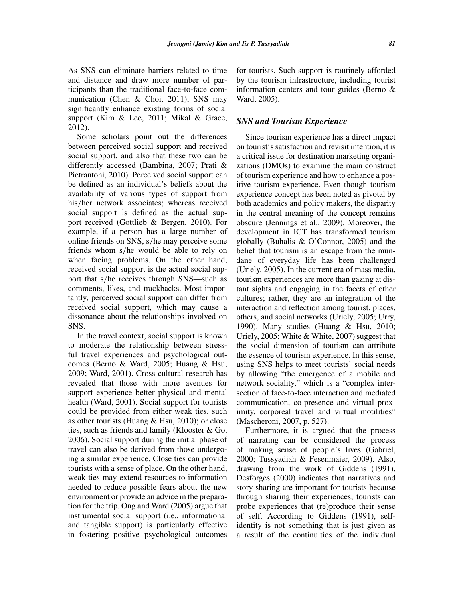As SNS can eliminate barriers related to time and distance and draw more number of participants than the traditional face-to-face communication (Chen & Choi, 2011), SNS may significantly enhance existing forms of social support (Kim & Lee, 2011; Mikal & Grace, 2012).

Some scholars point out the differences between perceived social support and received social support, and also that these two can be differently accessed (Bambina, 2007; Prati & Pietrantoni, 2010). Perceived social support can be defined as an individual's beliefs about the availability of various types of support from his/her network associates; whereas received social support is defined as the actual support received (Gottlieb & Bergen, 2010). For example, if a person has a large number of online friends on SNS, s/he may perceive some friends whom s/he would be able to rely on when facing problems. On the other hand, received social support is the actual social support that s/he receives through SNS—such as comments, likes, and trackbacks. Most importantly, perceived social support can differ from received social support, which may cause a dissonance about the relationships involved on SNS.

In the travel context, social support is known to moderate the relationship between stressful travel experiences and psychological outcomes (Berno & Ward, 2005; Huang & Hsu, 2009; Ward, 2001). Cross-cultural research has revealed that those with more avenues for support experience better physical and mental health (Ward, 2001). Social support for tourists could be provided from either weak ties, such as other tourists (Huang  $&$  Hsu, 2010); or close ties, such as friends and family (Klooster & Go, 2006). Social support during the initial phase of travel can also be derived from those undergoing a similar experience. Close ties can provide tourists with a sense of place. On the other hand, weak ties may extend resources to information needed to reduce possible fears about the new environment or provide an advice in the preparation for the trip. Ong and Ward (2005) argue that instrumental social support (i.e., informational and tangible support) is particularly effective in fostering positive psychological outcomes for tourists. Such support is routinely afforded by the tourism infrastructure, including tourist information centers and tour guides (Berno & Ward, 2005).

## *SNS and Tourism Experience*

Since tourism experience has a direct impact on tourist's satisfaction and revisit intention, it is a critical issue for destination marketing organizations (DMOs) to examine the main construct of tourism experience and how to enhance a positive tourism experience. Even though tourism experience concept has been noted as pivotal by both academics and policy makers, the disparity in the central meaning of the concept remains obscure (Jennings et al., 2009). Moreover, the development in ICT has transformed tourism globally (Buhalis & O'Connor, 2005) and the belief that tourism is an escape from the mundane of everyday life has been challenged (Uriely, 2005). In the current era of mass media, tourism experiences are more than gazing at distant sights and engaging in the facets of other cultures; rather, they are an integration of the interaction and reflection among tourist, places, others, and social networks (Uriely, 2005; Urry, 1990). Many studies (Huang & Hsu, 2010; Uriely, 2005; White & White, 2007) suggest that the social dimension of tourism can attribute the essence of tourism experience. In this sense, using SNS helps to meet tourists' social needs by allowing "the emergence of a mobile and network sociality," which is a "complex intersection of face-to-face interaction and mediated communication, co-presence and virtual proximity, corporeal travel and virtual motilities" (Mascheroni, 2007, p. 527).

Furthermore, it is argued that the process of narrating can be considered the process of making sense of people's lives (Gabriel, 2000; Tussyadiah & Fesenmaier, 2009). Also, drawing from the work of Giddens (1991), Desforges (2000) indicates that narratives and story sharing are important for tourists because through sharing their experiences, tourists can probe experiences that (re)produce their sense of self. According to Giddens (1991), selfidentity is not something that is just given as a result of the continuities of the individual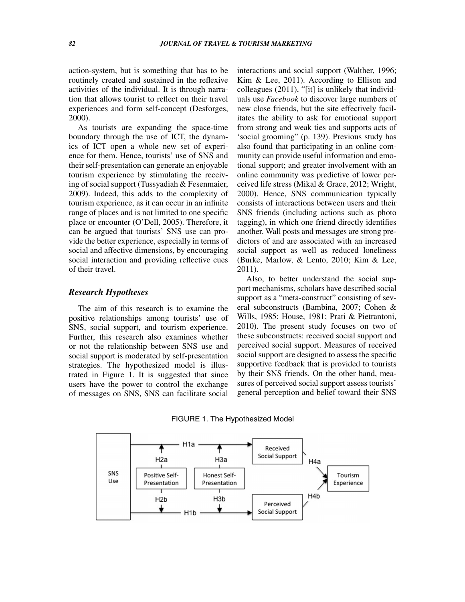action-system, but is something that has to be routinely created and sustained in the reflexive activities of the individual. It is through narration that allows tourist to reflect on their travel experiences and form self-concept (Desforges, 2000).

As tourists are expanding the space-time boundary through the use of ICT, the dynamics of ICT open a whole new set of experience for them. Hence, tourists' use of SNS and their self-presentation can generate an enjoyable tourism experience by stimulating the receiving of social support (Tussyadiah & Fesenmaier, 2009). Indeed, this adds to the complexity of tourism experience, as it can occur in an infinite range of places and is not limited to one specific place or encounter (O'Dell, 2005). Therefore, it can be argued that tourists' SNS use can provide the better experience, especially in terms of social and affective dimensions, by encouraging social interaction and providing reflective cues of their travel.

### *Research Hypotheses*

The aim of this research is to examine the positive relationships among tourists' use of SNS, social support, and tourism experience. Further, this research also examines whether or not the relationship between SNS use and social support is moderated by self-presentation strategies. The hypothesized model is illustrated in Figure 1. It is suggested that since users have the power to control the exchange of messages on SNS, SNS can facilitate social

interactions and social support (Walther, 1996; Kim & Lee, 2011). According to Ellison and colleagues (2011), "[it] is unlikely that individuals use *Facebook* to discover large numbers of new close friends, but the site effectively facilitates the ability to ask for emotional support from strong and weak ties and supports acts of 'social grooming" (p. 139). Previous study has also found that participating in an online community can provide useful information and emotional support; and greater involvement with an online community was predictive of lower perceived life stress (Mikal & Grace, 2012; Wright, 2000). Hence, SNS communication typically consists of interactions between users and their SNS friends (including actions such as photo tagging), in which one friend directly identifies another. Wall posts and messages are strong predictors of and are associated with an increased social support as well as reduced loneliness (Burke, Marlow, & Lento, 2010; Kim & Lee, 2011).

Also, to better understand the social support mechanisms, scholars have described social support as a "meta-construct" consisting of several subconstructs (Bambina, 2007; Cohen & Wills, 1985; House, 1981; Prati & Pietrantoni, 2010). The present study focuses on two of these subconstructs: received social support and perceived social support. Measures of received social support are designed to assess the specific supportive feedback that is provided to tourists by their SNS friends. On the other hand, measures of perceived social support assess tourists' general perception and belief toward their SNS



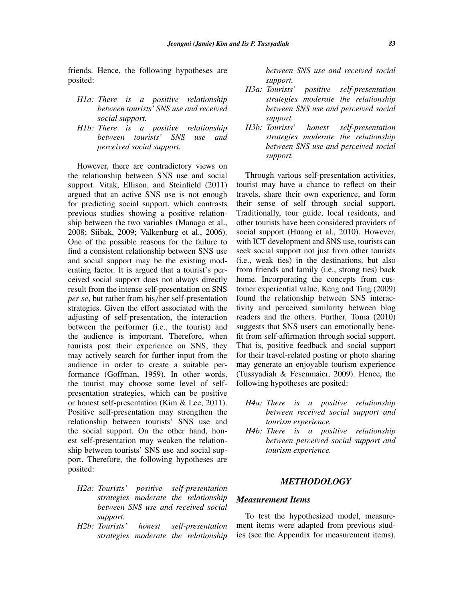friends. Hence, the following hypotheses are posited:

- *H1a: There is a positive relationship between tourists' SNS use and received social support.*
- *H1b: There is a positive relationship between tourists' SNS use and perceived social support.*

However, there are contradictory views on the relationship between SNS use and social support. Vitak, Ellison, and Steinfield (2011) argued that an active SNS use is not enough for predicting social support, which contrasts previous studies showing a positive relationship between the two variables (Manago et al., 2008; Siibak, 2009; Valkenburg et al., 2006). One of the possible reasons for the failure to find a consistent relationship between SNS use and social support may be the existing moderating factor. It is argued that a tourist's perceived social support does not always directly result from the intense self-presentation on SNS *per se*, but rather from his/her self-presentation strategies. Given the effort associated with the adjusting of self-presentation, the interaction between the performer (i.e., the tourist) and the audience is important. Therefore, when tourists post their experience on SNS, they may actively search for further input from the audience in order to create a suitable performance (Goffman, 1959). In other words, the tourist may choose some level of selfpresentation strategies, which can be positive or honest self-presentation (Kim & Lee, 2011). Positive self-presentation may strengthen the relationship between tourists' SNS use and the social support. On the other hand, honest self-presentation may weaken the relationship between tourists' SNS use and social support. Therefore, the following hypotheses are posited:

- *H2a: Tourists' positive self-presentation strategies moderate the relationship between SNS use and received social support.*
- *H2b: Tourists' honest self-presentation strategies moderate the relationship*

*between SNS use and received social support.*

- *H3a: Tourists' positive self-presentation strategies moderate the relationship between SNS use and perceived social support.*
- *H3b: Tourists' honest self-presentation strategies moderate the relationship between SNS use and perceived social support.*

Through various self-presentation activities, tourist may have a chance to reflect on their travels, share their own experience, and form their sense of self through social support. Traditionally, tour guide, local residents, and other tourists have been considered providers of social support (Huang et al., 2010). However, with ICT development and SNS use, tourists can seek social support not just from other tourists (i.e., weak ties) in the destinations, but also from friends and family (i.e., strong ties) back home. Incorporating the concepts from customer experiential value, Keng and Ting (2009) found the relationship between SNS interactivity and perceived similarity between blog readers and the others. Further, Toma (2010) suggests that SNS users can emotionally benefit from self-affirmation through social support. That is, positive feedback and social support for their travel-related posting or photo sharing may generate an enjoyable tourism experience (Tussyadiah & Fesenmaier, 2009). Hence, the following hypotheses are posited:

- *H4a: There is a positive relationship between received social support and tourism experience.*
- *H4b: There is a positive relationship between perceived social support and tourism experience.*

#### *METHODOLOGY*

#### *Measurement Items*

To test the hypothesized model, measurement items were adapted from previous studies (see the Appendix for measurement items).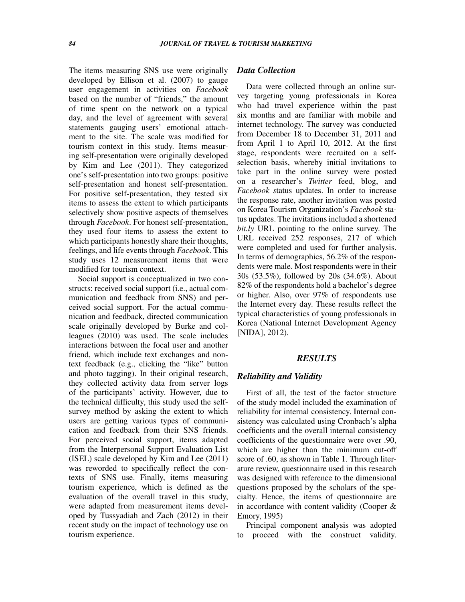The items measuring SNS use were originally developed by Ellison et al. (2007) to gauge user engagement in activities on *Facebook* based on the number of "friends," the amount of time spent on the network on a typical day, and the level of agreement with several statements gauging users' emotional attachment to the site. The scale was modified for tourism context in this study. Items measuring self-presentation were originally developed by Kim and Lee (2011). They categorized one's self-presentation into two groups: positive self-presentation and honest self-presentation. For positive self-presentation, they tested six items to assess the extent to which participants selectively show positive aspects of themselves through *Facebook*. For honest self-presentation, they used four items to assess the extent to which participants honestly share their thoughts, feelings, and life events through *Facebook*. This study uses 12 measurement items that were modified for tourism context.

Social support is conceptualized in two constructs: received social support (i.e., actual communication and feedback from SNS) and perceived social support. For the actual communication and feedback, directed communication scale originally developed by Burke and colleagues (2010) was used. The scale includes interactions between the focal user and another friend, which include text exchanges and nontext feedback (e.g., clicking the "like" button and photo tagging). In their original research, they collected activity data from server logs of the participants' activity. However, due to the technical difficulty, this study used the selfsurvey method by asking the extent to which users are getting various types of communication and feedback from their SNS friends. For perceived social support, items adapted from the Interpersonal Support Evaluation List (ISEL) scale developed by Kim and Lee (2011) was reworded to specifically reflect the contexts of SNS use. Finally, items measuring tourism experience, which is defined as the evaluation of the overall travel in this study, were adapted from measurement items developed by Tussyadiah and Zach (2012) in their recent study on the impact of technology use on tourism experience.

## *Data Collection*

Data were collected through an online survey targeting young professionals in Korea who had travel experience within the past six months and are familiar with mobile and internet technology. The survey was conducted from December 18 to December 31, 2011 and from April 1 to April 10, 2012. At the first stage, respondents were recruited on a selfselection basis, whereby initial invitations to take part in the online survey were posted on a researcher's *Twitter* feed, blog, and *Facebook s*tatus updates. In order to increase the response rate, another invitation was posted on Korea Tourism Organization's *Facebook* status updates. The invitations included a shortened *bit.ly* URL pointing to the online survey. The URL received 252 responses, 217 of which were completed and used for further analysis. In terms of demographics, 56.2% of the respondents were male. Most respondents were in their 30s (53.5%), followed by 20s (34.6%). About 82% of the respondents hold a bachelor's degree or higher. Also, over 97% of respondents use the Internet every day. These results reflect the typical characteristics of young professionals in Korea (National Internet Development Agency [NIDA], 2012).

#### *RESULTS*

#### *Reliability and Validity*

First of all, the test of the factor structure of the study model included the examination of reliability for internal consistency. Internal consistency was calculated using Cronbach's alpha coefficients and the overall internal consistency coefficients of the questionnaire were over .90, which are higher than the minimum cut-off score of .60, as shown in Table 1. Through literature review, questionnaire used in this research was designed with reference to the dimensional questions proposed by the scholars of the specialty. Hence, the items of questionnaire are in accordance with content validity (Cooper & Emory, 1995)

Principal component analysis was adopted to proceed with the construct validity.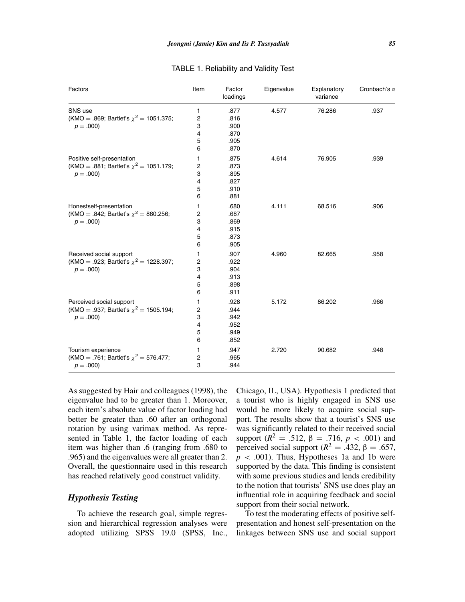| Factors                                                                                 | Item                                       | Factor<br>loadings                           | Eigenvalue | Explanatory<br>variance | Cronbach's $\alpha$ |
|-----------------------------------------------------------------------------------------|--------------------------------------------|----------------------------------------------|------------|-------------------------|---------------------|
| SNS use<br>(KMO = .869; Bartlet's $\chi^2$ = 1051.375;<br>$p = .000$                    | 1<br>$\mathbf 2$<br>3<br>4<br>5<br>6       | .877<br>.816<br>.900<br>.870<br>.905<br>.870 | 4.577      | 76.286                  | .937                |
| Positive self-presentation<br>(KMO = .881; Bartlet's $\chi^2$ = 1051.179;<br>$p = .000$ | 1.<br>$\boldsymbol{2}$<br>3<br>4<br>5<br>6 | .875<br>.873<br>.895<br>.827<br>.910<br>.881 | 4.614      | 76.905                  | .939                |
| Honestself-presentation<br>(KMO = .842; Bartlet's $\chi^2 = 860.256$ ;<br>$p = .000$    | 1<br>2<br>3<br>4<br>5<br>6                 | .680<br>.687<br>.869<br>.915<br>.873<br>.905 | 4.111      | 68.516                  | .906                |
| Received social support<br>(KMO = .923; Bartlet's $\chi^2$ = 1228.397;<br>$p = .000$    | 1<br>2<br>3<br>4<br>5<br>6                 | .907<br>.922<br>.904<br>.913<br>.898<br>.911 | 4.960      | 82.665                  | .958                |
| Perceived social support<br>(KMO = .937; Bartlet's $\chi^2$ = 1505.194;<br>$p = .000$   | 1<br>$\mathbf{2}$<br>3<br>4<br>5<br>6      | .928<br>.944<br>.942<br>.952<br>.949<br>.852 | 5.172      | 86.202                  | .966                |
| Tourism experience<br>(KMO = .761; Bartlet's $\chi^2$ = 576.477;<br>$p = .000$          | 1<br>2<br>3                                | .947<br>.965<br>.944                         | 2.720      | 90.682                  | .948                |

TABLE 1. Reliability and Validity Test

As suggested by Hair and colleagues (1998), the eigenvalue had to be greater than 1. Moreover, each item's absolute value of factor loading had better be greater than .60 after an orthogonal rotation by using varimax method. As represented in Table 1, the factor loading of each item was higher than .6 (ranging from .680 to .965) and the eigenvalues were all greater than 2. Overall, the questionnaire used in this research has reached relatively good construct validity.

## *Hypothesis Testing*

To achieve the research goal, simple regression and hierarchical regression analyses were adopted utilizing SPSS 19.0 (SPSS, Inc.,

Chicago, IL, USA). Hypothesis 1 predicted that a tourist who is highly engaged in SNS use would be more likely to acquire social support. The results show that a tourist's SNS use was significantly related to their received social support ( $R^2 = .512$ ,  $\beta = .716$ ,  $p < .001$ ) and perceived social support ( $R^2 = .432$ ,  $\beta = .657$ ,  $p < .001$ ). Thus, Hypotheses 1a and 1b were supported by the data. This finding is consistent with some previous studies and lends credibility to the notion that tourists' SNS use does play an influential role in acquiring feedback and social support from their social network.

To test the moderating effects of positive selfpresentation and honest self-presentation on the linkages between SNS use and social support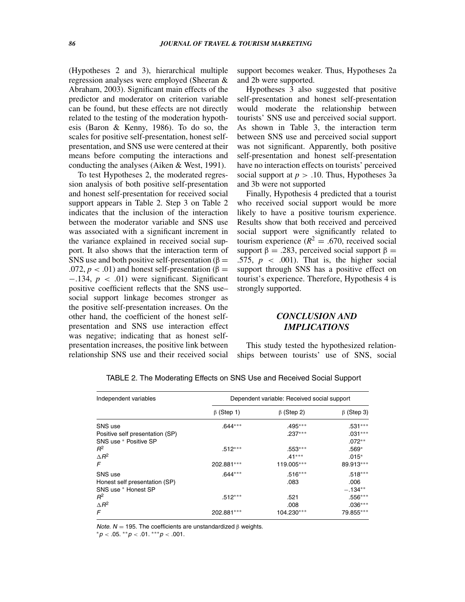(Hypotheses 2 and 3), hierarchical multiple regression analyses were employed (Sheeran & Abraham, 2003). Significant main effects of the predictor and moderator on criterion variable can be found, but these effects are not directly related to the testing of the moderation hypothesis (Baron & Kenny, 1986). To do so, the scales for positive self-presentation, honest selfpresentation, and SNS use were centered at their means before computing the interactions and conducting the analyses (Aiken & West, 1991).

To test Hypotheses 2, the moderated regression analysis of both positive self-presentation and honest self-presentation for received social support appears in Table 2. Step 3 on Table 2 indicates that the inclusion of the interaction between the moderator variable and SNS use was associated with a significant increment in the variance explained in received social support. It also shows that the interaction term of SNS use and both positive self-presentation ( $\beta$  = .072,  $p < .01$ ) and honest self-presentation ( $\beta =$ −.134, *p* < .01) were significant. Significant positive coefficient reflects that the SNS use– social support linkage becomes stronger as the positive self-presentation increases. On the other hand, the coefficient of the honest selfpresentation and SNS use interaction effect was negative; indicating that as honest selfpresentation increases, the positive link between relationship SNS use and their received social support becomes weaker. Thus, Hypotheses 2a and 2b were supported.

Hypotheses 3 also suggested that positive self-presentation and honest self-presentation would moderate the relationship between tourists' SNS use and perceived social support. As shown in Table 3, the interaction term between SNS use and perceived social support was not significant. Apparently, both positive self-presentation and honest self-presentation have no interaction effects on tourists' perceived social support at  $p > .10$ . Thus, Hypotheses 3a and 3b were not supported

Finally, Hypothesis 4 predicted that a tourist who received social support would be more likely to have a positive tourism experience. Results show that both received and perceived social support were significantly related to tourism experience  $(R^2 = .670,$  received social support  $\beta = .283$ , perceived social support  $\beta =$ .575,  $p \lt 0.001$ ). That is, the higher social support through SNS has a positive effect on tourist's experience. Therefore, Hypothesis 4 is strongly supported.

## *CONCLUSION AND IMPLICATIONS*

This study tested the hypothesized relationships between tourists' use of SNS, social

| Independent variables                                           | Dependent variable: Received social support |                        |                                |  |
|-----------------------------------------------------------------|---------------------------------------------|------------------------|--------------------------------|--|
|                                                                 | $\beta$ (Step 1)                            | $\beta$ (Step 2)       | $\beta$ (Step 3)               |  |
| SNS use<br>Positive self presentation (SP)                      | $.644***$                                   | $.495***$<br>$.237***$ | $.531***$<br>$.031***$         |  |
| SNS use * Positive SP<br>$R^2$<br>$\triangle R^2$               | $.512***$                                   | $.553***$<br>$.41***$  | $.072**$<br>$.569*$<br>$.015*$ |  |
| F                                                               | 202.881***                                  | 119.005***             | 89.913***                      |  |
| SNS use<br>Honest self presentation (SP)<br>SNS use * Honest SP | $.644***$                                   | $.516***$<br>.083      | $.518***$<br>.006<br>$-.134**$ |  |
| $R^2$<br>$\triangle R^2$                                        | $.512***$                                   | .521<br>.008           | $.556***$<br>$.036***$         |  |
| F                                                               | 202.881***                                  | 104.230***             | 79.855***                      |  |

TABLE 2. The Moderating Effects on SNS Use and Received Social Support

*Note.*  $N = 195$ . The coefficients are unstandardized  $\beta$  weights.

∗*p* < .05. ∗∗*p* < .01. ∗∗∗*p* < .001.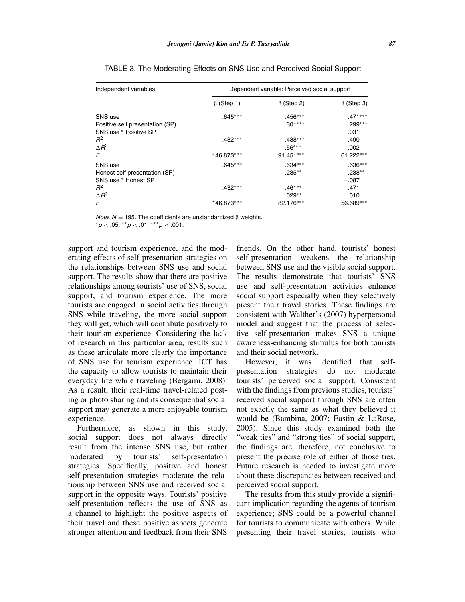| Independent variables                                               |                         | Dependent variable: Perceived social support |                                   |  |  |
|---------------------------------------------------------------------|-------------------------|----------------------------------------------|-----------------------------------|--|--|
|                                                                     | $\beta$ (Step 1)        | $\beta$ (Step 2)                             | $\beta$ (Step 3)                  |  |  |
| SNS use<br>Positive self presentation (SP)<br>SNS use * Positive SP | $.645***$               | $.456***$<br>$.301***$                       | $.471***$<br>$.299***$<br>.031    |  |  |
| B <sup>2</sup><br>$\triangle R^2$<br>F                              | $.432***$<br>146.873*** | .488***<br>$.56***$<br>91.451***             | .490<br>.002<br>61.222***         |  |  |
| SNS use<br>Honest self presentation (SP)<br>SNS use * Honest SP     | $.645***$               | $.634***$<br>$-.235***$                      | $.636***$<br>$-.238**$<br>$-.087$ |  |  |
| B <sup>2</sup><br>$\triangle R^2$                                   | $.432***$               | $.461**$<br>$.029**$                         | .471<br>.010                      |  |  |
| F                                                                   | 146.873***              | 82.176***                                    | 56.689***                         |  |  |

TABLE 3. The Moderating Effects on SNS Use and Perceived Social Support

*Note.*  $N = 195$ . The coefficients are unstandardized  $\beta$  weights.

∗*p* < .05. ∗∗*p* < .01. ∗∗∗*p* < .001.

support and tourism experience, and the moderating effects of self-presentation strategies on the relationships between SNS use and social support. The results show that there are positive relationships among tourists' use of SNS, social support, and tourism experience. The more tourists are engaged in social activities through SNS while traveling, the more social support they will get, which will contribute positively to their tourism experience. Considering the lack of research in this particular area, results such as these articulate more clearly the importance of SNS use for tourism experience. ICT has the capacity to allow tourists to maintain their everyday life while traveling (Bergami, 2008). As a result, their real-time travel-related posting or photo sharing and its consequential social support may generate a more enjoyable tourism experience.

Furthermore, as shown in this study, social support does not always directly result from the intense SNS use, but rather moderated by tourists' self-presentation strategies. Specifically, positive and honest self-presentation strategies moderate the relationship between SNS use and received social support in the opposite ways. Tourists' positive self-presentation reflects the use of SNS as a channel to highlight the positive aspects of their travel and these positive aspects generate stronger attention and feedback from their SNS

friends. On the other hand, tourists' honest self-presentation weakens the relationship between SNS use and the visible social support. The results demonstrate that tourists' SNS use and self-presentation activities enhance social support especially when they selectively present their travel stories. These findings are consistent with Walther's (2007) hyperpersonal model and suggest that the process of selective self-presentation makes SNS a unique awareness-enhancing stimulus for both tourists and their social network.

However, it was identified that selfpresentation strategies do not moderate tourists' perceived social support. Consistent with the findings from previous studies, tourists' received social support through SNS are often not exactly the same as what they believed it would be (Bambina, 2007; Eastin & LaRose, 2005). Since this study examined both the "weak ties" and "strong ties" of social support, the findings are, therefore, not conclusive to present the precise role of either of those ties. Future research is needed to investigate more about these discrepancies between received and perceived social support.

The results from this study provide a significant implication regarding the agents of tourism experience; SNS could be a powerful channel for tourists to communicate with others. While presenting their travel stories, tourists who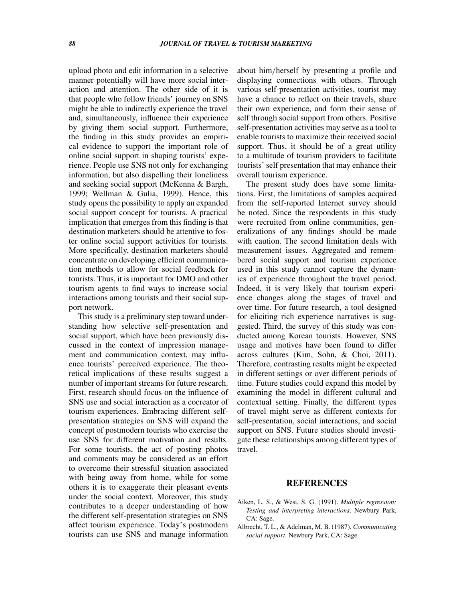upload photo and edit information in a selective manner potentially will have more social interaction and attention. The other side of it is that people who follow friends' journey on SNS might be able to indirectly experience the travel and, simultaneously, influence their experience by giving them social support. Furthermore, the finding in this study provides an empirical evidence to support the important role of online social support in shaping tourists' experience. People use SNS not only for exchanging information, but also dispelling their loneliness and seeking social support (McKenna & Bargh, 1999; Wellman & Gulia, 1999). Hence, this study opens the possibility to apply an expanded social support concept for tourists. A practical implication that emerges from this finding is that destination marketers should be attentive to foster online social support activities for tourists. More specifically, destination marketers should concentrate on developing efficient communication methods to allow for social feedback for tourists. Thus, it is important for DMO and other tourism agents to find ways to increase social interactions among tourists and their social support network.

This study is a preliminary step toward understanding how selective self-presentation and social support, which have been previously discussed in the context of impression management and communication context, may influence tourists' perceived experience. The theoretical implications of these results suggest a number of important streams for future research. First, research should focus on the influence of SNS use and social interaction as a cocreator of tourism experiences. Embracing different selfpresentation strategies on SNS will expand the concept of postmodern tourists who exercise the use SNS for different motivation and results. For some tourists, the act of posting photos and comments may be considered as an effort to overcome their stressful situation associated with being away from home, while for some others it is to exaggerate their pleasant events under the social context. Moreover, this study contributes to a deeper understanding of how the different self-presentation strategies on SNS affect tourism experience. Today's postmodern tourists can use SNS and manage information

about him/herself by presenting a profile and displaying connections with others. Through various self-presentation activities, tourist may have a chance to reflect on their travels, share their own experience, and form their sense of self through social support from others. Positive self-presentation activities may serve as a tool to enable tourists to maximize their received social support. Thus, it should be of a great utility to a multitude of tourism providers to facilitate tourists' self presentation that may enhance their overall tourism experience.

The present study does have some limitations. First, the limitations of samples acquired from the self-reported Internet survey should be noted. Since the respondents in this study were recruited from online communities, generalizations of any findings should be made with caution. The second limitation deals with measurement issues. Aggregated and remembered social support and tourism experience used in this study cannot capture the dynamics of experience throughout the travel period. Indeed, it is very likely that tourism experience changes along the stages of travel and over time. For future research, a tool designed for eliciting rich experience narratives is suggested. Third, the survey of this study was conducted among Korean tourists. However, SNS usage and motives have been found to differ across cultures (Kim, Sohn, & Choi, 2011). Therefore, contrasting results might be expected in different settings or over different periods of time. Future studies could expand this model by examining the model in different cultural and contextual setting. Finally, the different types of travel might serve as different contexts for self-presentation, social interactions, and social support on SNS. Future studies should investigate these relationships among different types of travel.

#### **REFERENCES**

- Aiken, L. S., & West, S. G. (1991). *Multiple regression: Testing and interpreting interactions*. Newbury Park, CA: Sage.
- Albrecht, T. L., & Adelman, M. B. (1987). *Communicating social support*. Newbury Park, CA: Sage.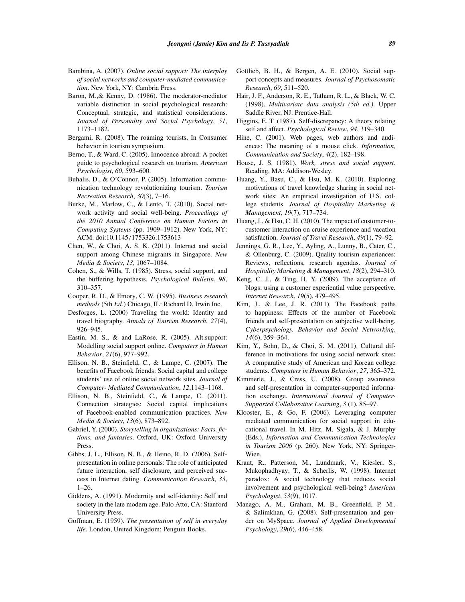- Bambina, A. (2007). *Online social support: The interplay of social networks and computer-mediated communication*. New York, NY: Cambria Press.
- Baron, M.,& Kenny, D. (1986). The moderator-mediator variable distinction in social psychological research: Conceptual, strategic, and statistical considerations. *Journal of Personality and Social Psychology*, *51*, 1173–1182.
- Bergami, R. (2008). The roaming tourists, In Consumer behavior in tourism symposium.
- Berno, T., & Ward, C. (2005). Innocence abroad: A pocket guide to psychological research on tourism. *American Psychologist*, *60*, 593–600.
- Buhalis, D., & O'Connor, P. (2005). Information communication technology revolutionizing tourism. *Tourism Recreation Research*, *30*(3), 7–16.
- Burke, M., Marlow, C., & Lento, T. (2010). Social network activity and social well-being. *Proceedings of the 2010 Annual Conference on Human Factors in Computing Systems* (pp. 1909–1912). New York, NY: ACM. doi:10.1145/1753326.1753613
- Chen, W., & Choi, A. S. K. (2011). Internet and social support among Chinese migrants in Singapore. *New Media & Society*, *13*, 1067–1084.
- Cohen, S., & Wills, T. (1985). Stress, social support, and the buffering hypothesis. *Psychological Bulletin*, *98*, 310–357.
- Cooper, R. D., & Emory, C. W. (1995). *Business research methods* (5th *Ed*.) Chicago, IL: Richard D. Irwin Inc.
- Desforges, L. (2000) Traveling the world: Identity and travel biography. *Annals of Tourism Research*, *27*(4), 926–945.
- Eastin, M. S., & and LaRose. R. (2005). Alt.support: Modelling social support online. *Computers in Human Behavior*, *21*(6), 977–992.
- Ellison, N. B., Steinfield, C., & Lampe, C. (2007). The benefits of Facebook friends: Social capital and college students' use of online social network sites. *Journal of Computer- Mediated Communication*, *12*,1143–1168.
- Ellison, N. B., Steinfield, C., & Lampe, C. (2011). Connection strategies: Social capital implications of Facebook-enabled communication practices. *New Media & Society*, *13*(6), 873–892.
- Gabriel, Y. (2000). *Storytelling in organizations: Facts, fictions, and fantasies*. Oxford, UK: Oxford University Press.
- Gibbs, J. L., Ellison, N. B., & Heino, R. D. (2006). Selfpresentation in online personals: The role of anticipated future interaction, self disclosure, and perceived success in Internet dating. *Communication Research*, *33*,  $1 - 26$ .
- Giddens, A. (1991). Modernity and self-identity: Self and society in the late modern age. Palo Atto, CA: Stanford University Press.
- Goffman, E. (1959). *The presentation of self in everyday life*. London, United Kingdom: Penguin Books.
- Gottlieb, B. H., & Bergen, A. E. (2010). Social support concepts and measures. *Journal of Psychosomatic Research*, *69*, 511–520.
- Hair, J. F., Anderson, R. E., Tatham, R. L., & Black, W. C. (1998). *Multivariate data analysis (5th ed.)*. Upper Saddle River, NJ: Prentice-Hall.
- Higgins, E. T. (1987). Self-discrepancy: A theory relating self and affect. *Psychological Review*, *94*, 319–340.
- Hine, C. (2001). Web pages, web authors and audiences: The meaning of a mouse click. *Information, Communication and Society*, *4*(2), 182–198.
- House, J. S. (1981). *Work, stress and social support*. Reading, MA: Addison-Wesley.
- Huang, Y., Basu, C., & Hsu, M. K. (2010). Exploring motivations of travel knowledge sharing in social network sites: An empirical investigation of U.S. college students. *Journal of Hospitality Marketing & Management*, *19*(7), 717–734.
- Huang, J., & Hsu, C. H. (2010). The impact of customer-tocustomer interaction on cruise experience and vacation satisfaction. *Journal of Travel Research*, *49*(1), 79–92.
- Jennings, G. R., Lee, Y., Ayling, A., Lunny, B., Cater, C., & Ollenburg, C. (2009). Quality tourism experiences: Reviews, reflections, research agendas. *Journal of Hospitality Marketing & Management*, *18*(2), 294–310.
- Keng, C. J., & Ting, H. Y. (2009). The acceptance of blogs: using a customer experiential value perspective. *Internet Research*, *19*(5), 479–495.
- Kim, J., & Lee, J. R. (2011). The Facebook paths to happiness: Effects of the number of Facebook friends and self-presentation on subjective well-being. *Cyberpsychology, Behavior and Social Networking*, *14*(6), 359–364.
- Kim, Y., Sohn, D., & Choi, S. M. (2011). Cultural difference in motivations for using social network sites: A comparative study of American and Korean college students. *Computers in Human Behavior*, *27*, 365–372.
- Kimmerle, J., & Cress, U. (2008). Group awareness and self-presentation in computer-supported information exchange. *International Journal of Computer-Supported Collaborative Learning*, *3* (1), 85–97.
- Klooster, E., & Go, F. (2006). Leveraging computer mediated communication for social support in educational travel. In M. Hitz, M. Sigala, & J. Murphy (Eds.), *Information and Communication Technologies in Tourism 2006* (p. 260). New York, NY: Springer-Wien.
- Kraut, R., Patterson, M., Lundmark, V., Kiesler, S., Mukophadhyay, T., & Scherlis, W. (1998). Internet paradox: A social technology that reduces social involvement and psychological well-being? *American Psychologist*, *53*(9), 1017.
- Manago, A. M., Graham, M. B., Greenfield, P. M., & Salimkhan, G. (2008). Self-presentation and gender on MySpace. *Journal of Applied Developmental Psychology*, *29*(6), 446–458.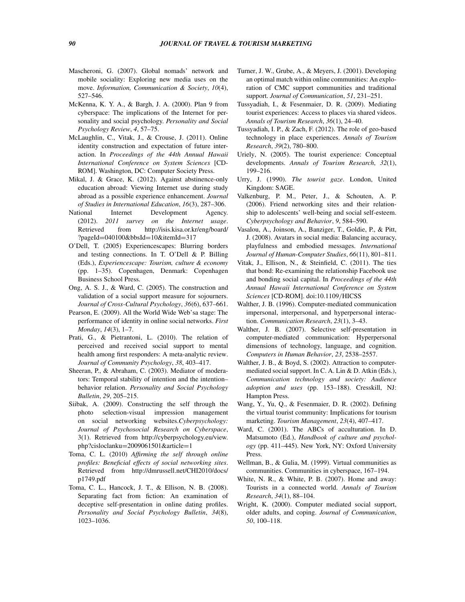- Mascheroni, G. (2007). Global nomads' network and mobile sociality: Exploring new media uses on the move. *Information, Communication & Society*, *10*(4), 527–546.
- McKenna, K. Y. A., & Bargh, J. A. (2000). Plan 9 from cyberspace: The implications of the Internet for personality and social psychology. *Personality and Social Psychology Review*, *4*, 57–75.
- McLaughlin, C., Vitak, J., & Crouse, J. (2011). Online identity construction and expectation of future interaction. In *Proceedings of the 44th Annual Hawaii International Conference on System Sciences* [CD-ROM]. Washington, DC: Computer Society Press.
- Mikal, J. & Grace, K. (2012). Against abstinence-only education abroad: Viewing Internet use during study abroad as a possible experience enhancement. *Journal of Studies in International Education*, *16*(3), 287–306.
- National Internet Development Agency. (2012). *2011 survey on the Internet usage*. Retrieved from http://isis.kisa.or.kr/eng/board/ ?pageId=040100&bbsId=10&itemId=317
- O'Dell, T. (2005) Experiencescapes: Blurring borders and testing connections. In T. O'Dell & P. Billing (Eds.), *Experiencescape: Tourism, culture & economy* (pp. 1–35). Copenhagen, Denmark: Copenhagen Business School Press.
- Ong, A. S. J., & Ward, C. (2005). The construction and validation of a social support measure for sojourners. *Journal of Cross-Cultural Psychology*, *36*(6), 637–661.
- Pearson, E. (2009). All the World Wide Web'sa stage: The performance of identity in online social networks. *First Monday*, *14*(3), 1–7.
- Prati, G., & Pietrantoni, L. (2010). The relation of perceived and received social support to mental health among first responders: A meta-analytic review. *Journal of Community Psychology*, *38*, 403–417.
- Sheeran, P., & Abraham, C. (2003). Mediator of moderators: Temporal stability of intention and the intentionbehavior relation. *Personality and Social Psychology Bulletin*, *29*, 205–215.
- Siibak, A. (2009). Constructing the self through the photo selection-visual impression management on social networking websites.*Cyberpsychology: Journal of Psychosocial Research on Cyberspace*, 3(1). Retrieved from http://cyberpsychology.eu/view. php?cisloclanku=2009061501&article=1
- Toma, C. L. (2010) *Affirming the self through online profiles: Beneficial effects of social networking sites*. Retrieved from http://dmrussell.net/CHI2010/docs/ p1749.pdf
- Toma, C. L., Hancock, J. T., & Ellison, N. B. (2008). Separating fact from fiction: An examination of deceptive self-presentation in online dating profiles. *Personality and Social Psychology Bulletin*, *34*(8), 1023–1036.
- Turner, J. W., Grube, A., & Meyers, J. (2001). Developing an optimal match within online communities: An exploration of CMC support communities and traditional support. *Journal of Communication*, *51*, 231–251.
- Tussyadiah, I., & Fesenmaier, D. R. (2009). Mediating tourist experiences: Access to places via shared videos. *Annals of Tourism Research*, *36*(1), 24–40.
- Tussyadiah, I. P., & Zach, F. (2012). The role of geo-based technology in place experiences. *Annals of Tourism Research*, *39*(2), 780–800.
- Uriely, N. (2005). The tourist experience: Conceptual developments. *Annals of Tourism Research*, *32*(1), 199–216.
- Urry, J. (1990). *The tourist gaze*. London, United Kingdom: SAGE.
- Valkenburg, P. M., Peter, J., & Schouten, A. P. (2006). Friend networking sites and their relationship to adolescents' well-being and social self-esteem. *Cyberpsychology and Behavior*, *9*, 584–590.
- Vasalou, A., Joinson, A., Banziger, T., Goldie, P., & Pitt, J. (2008). Avatars in social media: Balancing accuracy, playfulness and embodied messages. *International Journal of Human-Computer Studies*, *66*(11), 801–811.
- Vitak, J., Ellison, N., & Steinfield, C. (2011). The ties that bond: Re-examining the relationship Facebook use and bonding social capital. In *Proceedings of the 44th Annual Hawaii International Conference on System Sciences* [CD-ROM]. doi:10.1109/HICSS
- Walther, J. B. (1996). Computer-mediated communication impersonal, interpersonal, and hyperpersonal interaction. *Communication Research*, *23*(1), 3–43.
- Walther, J. B. (2007). Selective self-presentation in computer-mediated communication: Hyperpersonal dimensions of technology, language, and cognition. *Computers in Human Behavior*, *23*, 2538–2557.
- Walther, J. B., & Boyd, S. (2002). Attraction to computermediated social support. In C. A. Lin & D. Atkin (Eds.), *Communication technology and society: Audience adoption and uses* (pp. 153–188). Cresskill, NJ: Hampton Press.
- Wang, Y., Yu, Q., & Fesenmaier, D. R. (2002). Defining the virtual tourist community: Implications for tourism marketing. *Tourism Management*, *23*(4), 407–417.
- Ward, C. (2001). The ABCs of acculturation. In D. Matsumoto (Ed.), *Handbook of culture and psychology* (pp. 411–445). New York, NY: Oxford University Press.
- Wellman, B., & Gulia, M. (1999). Virtual communities as communities. Communities in cyberspace, 167–194.
- White, N. R., & White, P. B. (2007). Home and away: Tourists in a connected world. *Annals of Tourism Research*, *34*(1), 88–104.
- Wright, K. (2000). Computer mediated social support, older adults, and coping. *Journal of Communication*, *50*, 100–118.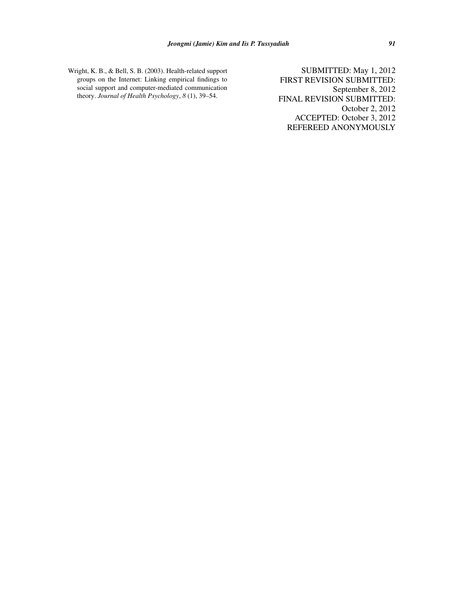Wright, K. B., & Bell, S. B. (2003). Health-related support groups on the Internet: Linking empirical findings to social support and computer-mediated communication theory. *Journal of Health Psychology*, *8* (1), 39–54.

SUBMITTED: May 1, 2012 FIRST REVISION SUBMITTED: September 8, 2012 FINAL REVISION SUBMITTED: October 2, 2012 ACCEPTED: October 3, 2012 REFEREED ANONYMOUSLY